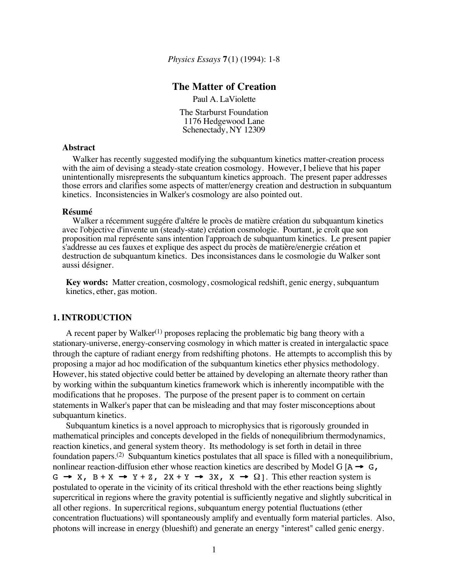*Physics Essays* **7**(1) (1994): 1-8

# **The Matter of Creation**

Paul A. LaViolette

The Starburst Foundation 1176 Hedgewood Lane Schenectady, NY 12309

## **Abstract**

Walker has recently suggested modifying the subquantum kinetics matter-creation process with the aim of devising a steady-state creation cosmology. However, I believe that his paper unintentionally misrepresents the subquantum kinetics approach. The present paper addresses those errors and clarifies some aspects of matter/energy creation and destruction in subquantum kinetics. Inconsistencies in Walker's cosmology are also pointed out.

#### **Résumé**

Walker a récemment suggére d'altére le procès de matière création du subquantum kinetics avec l'objective d'invente un (steady-state) création cosmologie. Pourtant, je croît que son proposition mal représente sans intention l'approach de subquantum kinetics. Le present papier s'addresse au ces fauxes et explique des aspect du procès de matière/energie création et destruction de subquantum kinetics. Des inconsistances dans le cosmologie du Walker sont aussi désigner.

**Key words:** Matter creation, cosmology, cosmological redshift, genic energy, subquantum kinetics, ether, gas motion.

#### **1. INTRODUCTION**

A recent paper by Walker<sup>(1)</sup> proposes replacing the problematic big bang theory with a stationary-universe, energy-conserving cosmology in which matter is created in intergalactic space through the capture of radiant energy from redshifting photons. He attempts to accomplish this by proposing a major ad hoc modification of the subquantum kinetics ether physics methodology. However, his stated objective could better be attained by developing an alternate theory rather than by working within the subquantum kinetics framework which is inherently incompatible with the modifications that he proposes. The purpose of the present paper is to comment on certain statements in Walker's paper that can be misleading and that may foster misconceptions about subquantum kinetics.

Subquantum kinetics is a novel approach to microphysics that is rigorously grounded in mathematical principles and concepts developed in the fields of nonequilibrium thermodynamics, reaction kinetics, and general system theory. Its methodology is set forth in detail in three foundation papers.(2) Subquantum kinetics postulates that all space is filled with a nonequilibrium, nonlinear reaction-diffusion ether whose reaction kinetics are described by Model G  $[A \rightarrow G,$  $G \rightarrow X$ ,  $B + X \rightarrow Y + Z$ ,  $2X + Y \rightarrow 3X$ ,  $X \rightarrow \Omega$ ]. This ether reaction system is postulated to operate in the vicinity of its critical threshold with the ether reactions being slightly supercritical in regions where the gravity potential is sufficiently negative and slightly subcritical in all other regions. In supercritical regions, subquantum energy potential fluctuations (ether concentration fluctuations) will spontaneously amplify and eventually form material particles. Also, photons will increase in energy (blueshift) and generate an energy "interest" called genic energy.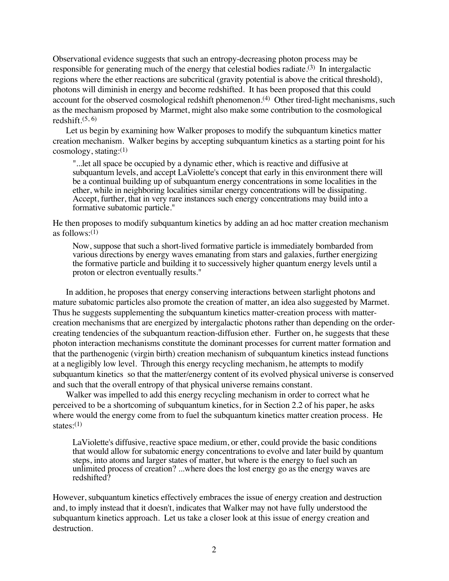Observational evidence suggests that such an entropy-decreasing photon process may be responsible for generating much of the energy that celestial bodies radiate.<sup>(3)</sup> In intergalactic regions where the ether reactions are subcritical (gravity potential is above the critical threshold), photons will diminish in energy and become redshifted. It has been proposed that this could account for the observed cosmological redshift phenomenon.<sup>(4)</sup> Other tired-light mechanisms, such as the mechanism proposed by Marmet, might also make some contribution to the cosmological redshift. $(5, 6)$ 

Let us begin by examining how Walker proposes to modify the subquantum kinetics matter creation mechanism. Walker begins by accepting subquantum kinetics as a starting point for his cosmology, stating:(1)

"...let all space be occupied by a dynamic ether, which is reactive and diffusive at subquantum levels, and accept LaViolette's concept that early in this environment there will be a continual building up of subquantum energy concentrations in some localities in the ether, while in neighboring localities similar energy concentrations will be dissipating. Accept, further, that in very rare instances such energy concentrations may build into a formative subatomic particle."

He then proposes to modify subquantum kinetics by adding an ad hoc matter creation mechanism as follows: $(1)$ 

Now, suppose that such a short-lived formative particle is immediately bombarded from various directions by energy waves emanating from stars and galaxies, further energizing the formative particle and building it to successively higher quantum energy levels until a proton or electron eventually results."

In addition, he proposes that energy conserving interactions between starlight photons and mature subatomic particles also promote the creation of matter, an idea also suggested by Marmet. Thus he suggests supplementing the subquantum kinetics matter-creation process with mattercreation mechanisms that are energized by intergalactic photons rather than depending on the ordercreating tendencies of the subquantum reaction-diffusion ether. Further on, he suggests that these photon interaction mechanisms constitute the dominant processes for current matter formation and that the parthenogenic (virgin birth) creation mechanism of subquantum kinetics instead functions at a negligibly low level. Through this energy recycling mechanism, he attempts to modify subquantum kinetics so that the matter/energy content of its evolved physical universe is conserved and such that the overall entropy of that physical universe remains constant.

Walker was impelled to add this energy recycling mechanism in order to correct what he perceived to be a shortcoming of subquantum kinetics, for in Section 2.2 of his paper, he asks where would the energy come from to fuel the subquantum kinetics matter creation process. He states: $(1)$ 

LaViolette's diffusive, reactive space medium, or ether, could provide the basic conditions that would allow for subatomic energy concentrations to evolve and later build by quantum steps, into atoms and larger states of matter, but where is the energy to fuel such an unlimited process of creation? ...where does the lost energy go as the energy waves are redshifted?

However, subquantum kinetics effectively embraces the issue of energy creation and destruction and, to imply instead that it doesn't, indicates that Walker may not have fully understood the subquantum kinetics approach. Let us take a closer look at this issue of energy creation and destruction.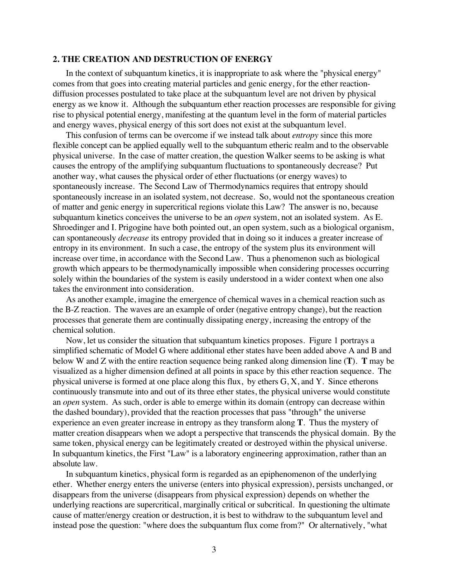### **2. THE CREATION AND DESTRUCTION OF ENERGY**

In the context of subquantum kinetics, it is inappropriate to ask where the "physical energy" comes from that goes into creating material particles and genic energy, for the ether reactiondiffusion processes postulated to take place at the subquantum level are not driven by physical energy as we know it. Although the subquantum ether reaction processes are responsible for giving rise to physical potential energy, manifesting at the quantum level in the form of material particles and energy waves, physical energy of this sort does not exist at the subquantum level.

This confusion of terms can be overcome if we instead talk about *entropy* since this more flexible concept can be applied equally well to the subquantum etheric realm and to the observable physical universe. In the case of matter creation, the question Walker seems to be asking is what causes the entropy of the amplifying subquantum fluctuations to spontaneously decrease? Put another way, what causes the physical order of ether fluctuations (or energy waves) to spontaneously increase. The Second Law of Thermodynamics requires that entropy should spontaneously increase in an isolated system, not decrease. So, would not the spontaneous creation of matter and genic energy in supercritical regions violate this Law? The answer is no, because subquantum kinetics conceives the universe to be an *open* system, not an isolated system. As E. Shroedinger and I. Prigogine have both pointed out, an open system, such as a biological organism, can spontaneously *decrease* its entropy provided that in doing so it induces a greater increase of entropy in its environment. In such a case, the entropy of the system plus its environment will increase over time, in accordance with the Second Law. Thus a phenomenon such as biological growth which appears to be thermodynamically impossible when considering processes occurring solely within the boundaries of the system is easily understood in a wider context when one also takes the environment into consideration.

As another example, imagine the emergence of chemical waves in a chemical reaction such as the B-Z reaction. The waves are an example of order (negative entropy change), but the reaction processes that generate them are continually dissipating energy, increasing the entropy of the chemical solution.

Now, let us consider the situation that subquantum kinetics proposes. Figure 1 portrays a simplified schematic of Model G where additional ether states have been added above A and B and below W and Z with the entire reaction sequence being ranked along dimension line (**T**). **T** may be visualized as a higher dimension defined at all points in space by this ether reaction sequence. The physical universe is formed at one place along this flux, by ethers G, X, and Y. Since etherons continuously transmute into and out of its three ether states, the physical universe would constitute an *open* system. As such, order is able to emerge within its domain (entropy can decrease within the dashed boundary), provided that the reaction processes that pass "through" the universe experience an even greater increase in entropy as they transform along **T**. Thus the mystery of matter creation disappears when we adopt a perspective that transcends the physical domain. By the same token, physical energy can be legitimately created or destroyed within the physical universe. In subquantum kinetics, the First "Law" is a laboratory engineering approximation, rather than an absolute law.

In subquantum kinetics, physical form is regarded as an epiphenomenon of the underlying ether. Whether energy enters the universe (enters into physical expression), persists unchanged, or disappears from the universe (disappears from physical expression) depends on whether the underlying reactions are supercritical, marginally critical or subcritical. In questioning the ultimate cause of matter/energy creation or destruction, it is best to withdraw to the subquantum level and instead pose the question: "where does the subquantum flux come from?" Or alternatively, "what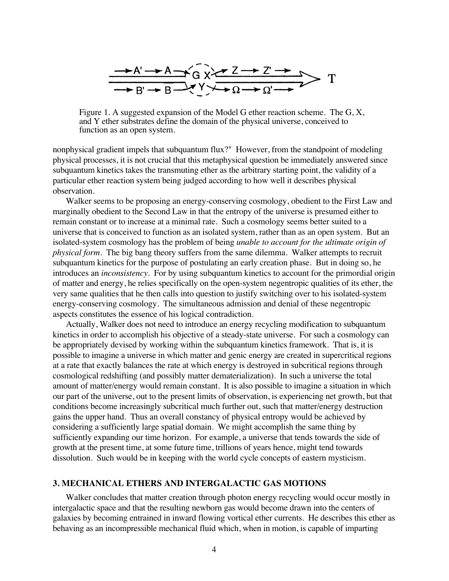

Figure 1. A suggested expansion of the Model G ether reaction scheme. The G, X, and Y ether substrates define the domain of the physical universe, conceived to function as an open system.

nonphysical gradient impels that subquantum flux?" However, from the standpoint of modeling physical processes, it is not crucial that this metaphysical question be immediately answered since subquantum kinetics takes the transmuting ether as the arbitrary starting point, the validity of a particular ether reaction system being judged according to how well it describes physical observation.

Walker seems to be proposing an energy-conserving cosmology, obedient to the First Law and marginally obedient to the Second Law in that the entropy of the universe is presumed either to remain constant or to increase at a minimal rate. Such a cosmology seems better suited to a universe that is conceived to function as an isolated system, rather than as an open system. But an isolated-system cosmology has the problem of being *unable to account for the ultimate origin of physical form*. The big bang theory suffers from the same dilemma. Walker attempts to recruit subquantum kinetics for the purpose of postulating an early creation phase. But in doing so, he introduces an *inconsistency*. For by using subquantum kinetics to account for the primordial origin of matter and energy, he relies specifically on the open-system negentropic qualities of its ether, the very same qualities that he then calls into question to justify switching over to his isolated-system energy-conserving cosmology. The simultaneous admission and denial of these negentropic aspects constitutes the essence of his logical contradiction.

Actually, Walker does not need to introduce an energy recycling modification to subquantum kinetics in order to accomplish his objective of a steady-state universe. For such a cosmology can be appropriately devised by working within the subquantum kinetics framework. That is, it is possible to imagine a universe in which matter and genic energy are created in supercritical regions at a rate that exactly balances the rate at which energy is destroyed in subcritical regions through cosmological redshifting (and possibly matter dematerialization). In such a universe the total amount of matter/energy would remain constant. It is also possible to imagine a situation in which our part of the universe, out to the present limits of observation, is experiencing net growth, but that conditions become increasingly subcritical much further out, such that matter/energy destruction gains the upper hand. Thus an overall constancy of physical entropy would be achieved by considering a sufficiently large spatial domain. We might accomplish the same thing by sufficiently expanding our time horizon. For example, a universe that tends towards the side of growth at the present time, at some future time, trillions of years hence, might tend towards dissolution. Such would be in keeping with the world cycle concepts of eastern mysticism.

## **3. MECHANICAL ETHERS AND INTERGALACTIC GAS MOTIONS**

Walker concludes that matter creation through photon energy recycling would occur mostly in intergalactic space and that the resulting newborn gas would become drawn into the centers of galaxies by becoming entrained in inward flowing vortical ether currents. He describes this ether as behaving as an incompressible mechanical fluid which, when in motion, is capable of imparting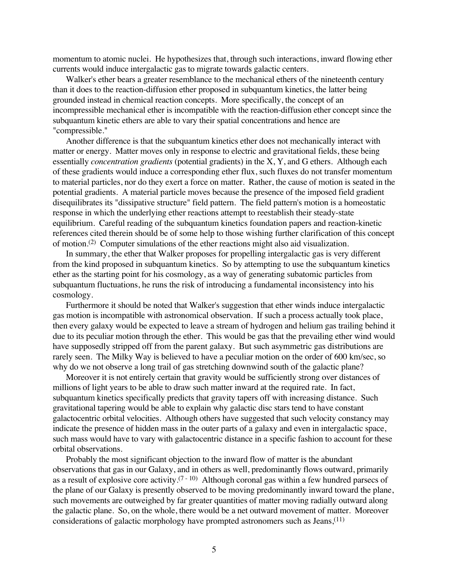momentum to atomic nuclei. He hypothesizes that, through such interactions, inward flowing ether currents would induce intergalactic gas to migrate towards galactic centers.

Walker's ether bears a greater resemblance to the mechanical ethers of the nineteenth century than it does to the reaction-diffusion ether proposed in subquantum kinetics, the latter being grounded instead in chemical reaction concepts. More specifically, the concept of an incompressible mechanical ether is incompatible with the reaction-diffusion ether concept since the subquantum kinetic ethers are able to vary their spatial concentrations and hence are "compressible."

Another difference is that the subquantum kinetics ether does not mechanically interact with matter or energy. Matter moves only in response to electric and gravitational fields, these being essentially *concentration gradients* (potential gradients) in the X, Y, and G ethers. Although each of these gradients would induce a corresponding ether flux, such fluxes do not transfer momentum to material particles, nor do they exert a force on matter. Rather, the cause of motion is seated in the potential gradients. A material particle moves because the presence of the imposed field gradient disequilibrates its "dissipative structure" field pattern. The field pattern's motion is a homeostatic response in which the underlying ether reactions attempt to reestablish their steady-state equilibrium. Careful reading of the subquantum kinetics foundation papers and reaction-kinetic references cited therein should be of some help to those wishing further clarification of this concept of motion.(2) Computer simulations of the ether reactions might also aid visualization.

In summary, the ether that Walker proposes for propelling intergalactic gas is very different from the kind proposed in subquantum kinetics. So by attempting to use the subquantum kinetics ether as the starting point for his cosmology, as a way of generating subatomic particles from subquantum fluctuations, he runs the risk of introducing a fundamental inconsistency into his cosmology.

Furthermore it should be noted that Walker's suggestion that ether winds induce intergalactic gas motion is incompatible with astronomical observation. If such a process actually took place, then every galaxy would be expected to leave a stream of hydrogen and helium gas trailing behind it due to its peculiar motion through the ether. This would be gas that the prevailing ether wind would have supposedly stripped off from the parent galaxy. But such asymmetric gas distributions are rarely seen. The Milky Way is believed to have a peculiar motion on the order of 600 km/sec, so why do we not observe a long trail of gas stretching downwind south of the galactic plane?

Moreover it is not entirely certain that gravity would be sufficiently strong over distances of millions of light years to be able to draw such matter inward at the required rate. In fact, subquantum kinetics specifically predicts that gravity tapers off with increasing distance. Such gravitational tapering would be able to explain why galactic disc stars tend to have constant galactocentric orbital velocities. Although others have suggested that such velocity constancy may indicate the presence of hidden mass in the outer parts of a galaxy and even in intergalactic space, such mass would have to vary with galactocentric distance in a specific fashion to account for these orbital observations.

Probably the most significant objection to the inward flow of matter is the abundant observations that gas in our Galaxy, and in others as well, predominantly flows outward, primarily as a result of explosive core activity.(7 - 10) Although coronal gas within a few hundred parsecs of the plane of our Galaxy is presently observed to be moving predominantly inward toward the plane, such movements are outweighed by far greater quantities of matter moving radially outward along the galactic plane. So, on the whole, there would be a net outward movement of matter. Moreover considerations of galactic morphology have prompted astronomers such as Jeans,(11)